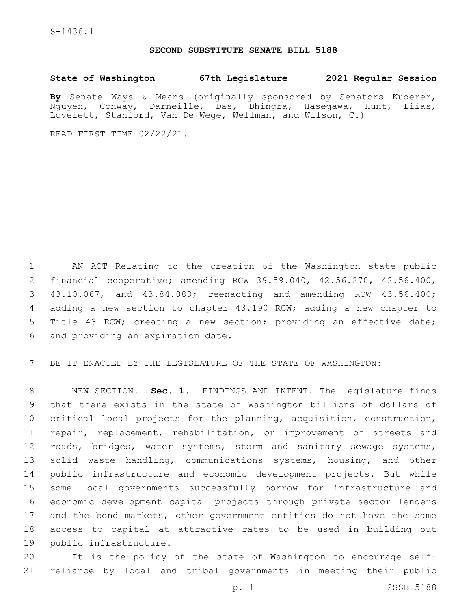## **SECOND SUBSTITUTE SENATE BILL 5188**

## **State of Washington 67th Legislature 2021 Regular Session**

**By** Senate Ways & Means (originally sponsored by Senators Kuderer, Nguyen, Conway, Darneille, Das, Dhingra, Hasegawa, Hunt, Liias, Lovelett, Stanford, Van De Wege, Wellman, and Wilson, C.)

READ FIRST TIME 02/22/21.

 AN ACT Relating to the creation of the Washington state public financial cooperative; amending RCW 39.59.040, 42.56.270, 42.56.400, 43.10.067, and 43.84.080; reenacting and amending RCW 43.56.400; adding a new section to chapter 43.190 RCW; adding a new chapter to Title 43 RCW; creating a new section; providing an effective date; 6 and providing an expiration date.

BE IT ENACTED BY THE LEGISLATURE OF THE STATE OF WASHINGTON:

 NEW SECTION. **Sec. 1.** FINDINGS AND INTENT. The legislature finds that there exists in the state of Washington billions of dollars of critical local projects for the planning, acquisition, construction, repair, replacement, rehabilitation, or improvement of streets and 12 roads, bridges, water systems, storm and sanitary sewage systems, 13 solid waste handling, communications systems, housing, and other public infrastructure and economic development projects. But while some local governments successfully borrow for infrastructure and economic development capital projects through private sector lenders and the bond markets, other government entities do not have the same access to capital at attractive rates to be used in building out public infrastructure.

 It is the policy of the state of Washington to encourage self-reliance by local and tribal governments in meeting their public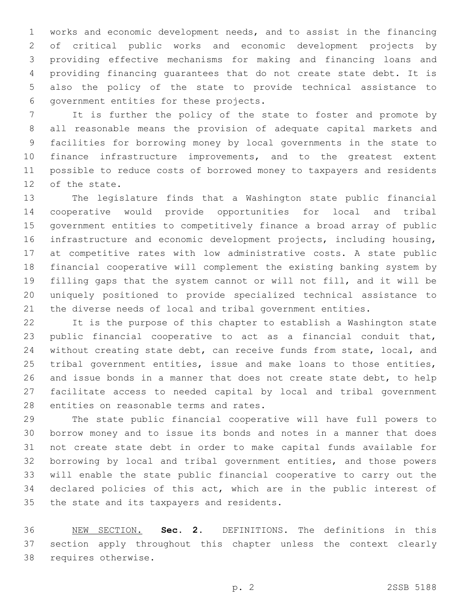works and economic development needs, and to assist in the financing of critical public works and economic development projects by providing effective mechanisms for making and financing loans and providing financing guarantees that do not create state debt. It is also the policy of the state to provide technical assistance to 6 government entities for these projects.

 It is further the policy of the state to foster and promote by all reasonable means the provision of adequate capital markets and facilities for borrowing money by local governments in the state to finance infrastructure improvements, and to the greatest extent possible to reduce costs of borrowed money to taxpayers and residents 12 of the state.

 The legislature finds that a Washington state public financial cooperative would provide opportunities for local and tribal government entities to competitively finance a broad array of public infrastructure and economic development projects, including housing, at competitive rates with low administrative costs. A state public financial cooperative will complement the existing banking system by filling gaps that the system cannot or will not fill, and it will be uniquely positioned to provide specialized technical assistance to the diverse needs of local and tribal government entities.

 It is the purpose of this chapter to establish a Washington state public financial cooperative to act as a financial conduit that, without creating state debt, can receive funds from state, local, and tribal government entities, issue and make loans to those entities, and issue bonds in a manner that does not create state debt, to help facilitate access to needed capital by local and tribal government 28 entities on reasonable terms and rates.

 The state public financial cooperative will have full powers to borrow money and to issue its bonds and notes in a manner that does not create state debt in order to make capital funds available for borrowing by local and tribal government entities, and those powers will enable the state public financial cooperative to carry out the declared policies of this act, which are in the public interest of 35 the state and its taxpayers and residents.

 NEW SECTION. **Sec. 2.** DEFINITIONS. The definitions in this section apply throughout this chapter unless the context clearly requires otherwise.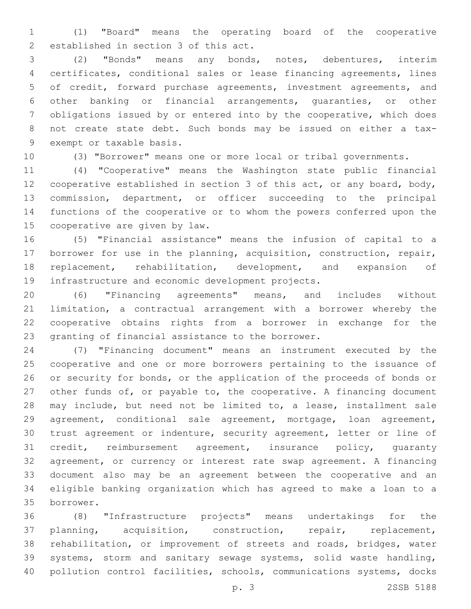(1) "Board" means the operating board of the cooperative 2 established in section 3 of this act.

 (2) "Bonds" means any bonds, notes, debentures, interim certificates, conditional sales or lease financing agreements, lines of credit, forward purchase agreements, investment agreements, and other banking or financial arrangements, guaranties, or other obligations issued by or entered into by the cooperative, which does not create state debt. Such bonds may be issued on either a tax-9 exempt or taxable basis.

(3) "Borrower" means one or more local or tribal governments.

 (4) "Cooperative" means the Washington state public financial cooperative established in section 3 of this act, or any board, body, commission, department, or officer succeeding to the principal functions of the cooperative or to whom the powers conferred upon the 15 cooperative are given by law.

 (5) "Financial assistance" means the infusion of capital to a borrower for use in the planning, acquisition, construction, repair, replacement, rehabilitation, development, and expansion of 19 infrastructure and economic development projects.

 (6) "Financing agreements" means, and includes without limitation, a contractual arrangement with a borrower whereby the cooperative obtains rights from a borrower in exchange for the 23 granting of financial assistance to the borrower.

 (7) "Financing document" means an instrument executed by the cooperative and one or more borrowers pertaining to the issuance of or security for bonds, or the application of the proceeds of bonds or other funds of, or payable to, the cooperative. A financing document may include, but need not be limited to, a lease, installment sale agreement, conditional sale agreement, mortgage, loan agreement, trust agreement or indenture, security agreement, letter or line of credit, reimbursement agreement, insurance policy, guaranty agreement, or currency or interest rate swap agreement. A financing document also may be an agreement between the cooperative and an eligible banking organization which has agreed to make a loan to a borrower.35

 (8) "Infrastructure projects" means undertakings for the planning, acquisition, construction, repair, replacement, rehabilitation, or improvement of streets and roads, bridges, water systems, storm and sanitary sewage systems, solid waste handling, pollution control facilities, schools, communications systems, docks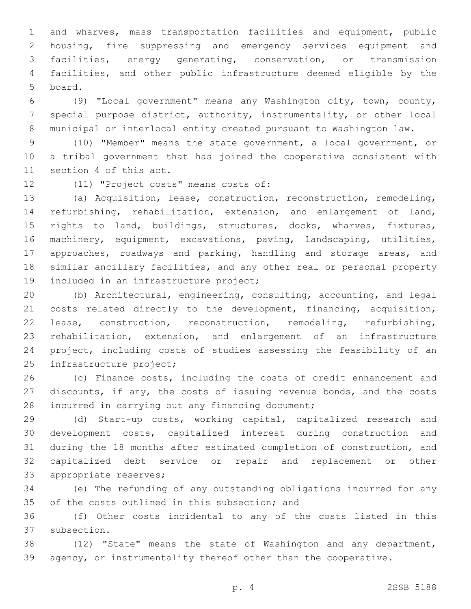and wharves, mass transportation facilities and equipment, public housing, fire suppressing and emergency services equipment and facilities, energy generating, conservation, or transmission facilities, and other public infrastructure deemed eligible by the 5 board.

 (9) "Local government" means any Washington city, town, county, special purpose district, authority, instrumentality, or other local municipal or interlocal entity created pursuant to Washington law.

 (10) "Member" means the state government, a local government, or a tribal government that has joined the cooperative consistent with 11 section 4 of this act.

12 (11) "Project costs" means costs of:

 (a) Acquisition, lease, construction, reconstruction, remodeling, refurbishing, rehabilitation, extension, and enlargement of land, rights to land, buildings, structures, docks, wharves, fixtures, machinery, equipment, excavations, paving, landscaping, utilities, approaches, roadways and parking, handling and storage areas, and similar ancillary facilities, and any other real or personal property 19 included in an infrastructure project;

 (b) Architectural, engineering, consulting, accounting, and legal costs related directly to the development, financing, acquisition, lease, construction, reconstruction, remodeling, refurbishing, rehabilitation, extension, and enlargement of an infrastructure project, including costs of studies assessing the feasibility of an 25 infrastructure project;

 (c) Finance costs, including the costs of credit enhancement and discounts, if any, the costs of issuing revenue bonds, and the costs 28 incurred in carrying out any financing document;

 (d) Start-up costs, working capital, capitalized research and development costs, capitalized interest during construction and during the 18 months after estimated completion of construction, and capitalized debt service or repair and replacement or other 33 appropriate reserves;

 (e) The refunding of any outstanding obligations incurred for any 35 of the costs outlined in this subsection; and

 (f) Other costs incidental to any of the costs listed in this 37 subsection.

 (12) "State" means the state of Washington and any department, agency, or instrumentality thereof other than the cooperative.

p. 4 2SSB 5188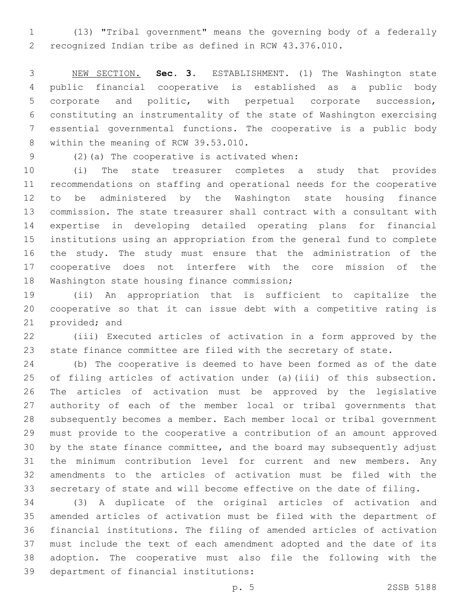(13) "Tribal government" means the governing body of a federally recognized Indian tribe as defined in RCW 43.376.010.

 NEW SECTION. **Sec. 3.** ESTABLISHMENT. (1) The Washington state public financial cooperative is established as a public body corporate and politic, with perpetual corporate succession, constituting an instrumentality of the state of Washington exercising essential governmental functions. The cooperative is a public body within the meaning of RCW 39.53.010.

(2)(a) The cooperative is activated when:9

 (i) The state treasurer completes a study that provides recommendations on staffing and operational needs for the cooperative to be administered by the Washington state housing finance commission. The state treasurer shall contract with a consultant with expertise in developing detailed operating plans for financial institutions using an appropriation from the general fund to complete the study. The study must ensure that the administration of the cooperative does not interfere with the core mission of the 18 Washington state housing finance commission;

 (ii) An appropriation that is sufficient to capitalize the cooperative so that it can issue debt with a competitive rating is 21 provided; and

 (iii) Executed articles of activation in a form approved by the state finance committee are filed with the secretary of state.

 (b) The cooperative is deemed to have been formed as of the date of filing articles of activation under (a)(iii) of this subsection. The articles of activation must be approved by the legislative authority of each of the member local or tribal governments that subsequently becomes a member. Each member local or tribal government must provide to the cooperative a contribution of an amount approved by the state finance committee, and the board may subsequently adjust the minimum contribution level for current and new members. Any amendments to the articles of activation must be filed with the secretary of state and will become effective on the date of filing.

 (3) A duplicate of the original articles of activation and amended articles of activation must be filed with the department of financial institutions. The filing of amended articles of activation must include the text of each amendment adopted and the date of its adoption. The cooperative must also file the following with the 39 department of financial institutions: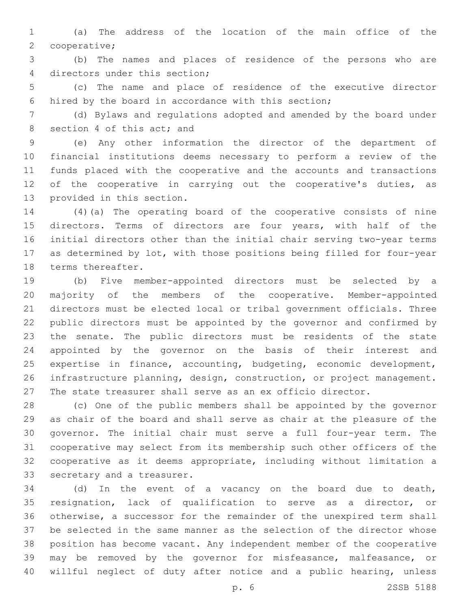(a) The address of the location of the main office of the 2 cooperative;

 (b) The names and places of residence of the persons who are 4 directors under this section;

 (c) The name and place of residence of the executive director hired by the board in accordance with this section;

 (d) Bylaws and regulations adopted and amended by the board under 8 section 4 of this act; and

 (e) Any other information the director of the department of financial institutions deems necessary to perform a review of the funds placed with the cooperative and the accounts and transactions 12 of the cooperative in carrying out the cooperative's duties, as 13 provided in this section.

 (4)(a) The operating board of the cooperative consists of nine directors. Terms of directors are four years, with half of the initial directors other than the initial chair serving two-year terms as determined by lot, with those positions being filled for four-year 18 terms thereafter.

 (b) Five member-appointed directors must be selected by a majority of the members of the cooperative. Member-appointed directors must be elected local or tribal government officials. Three public directors must be appointed by the governor and confirmed by the senate. The public directors must be residents of the state appointed by the governor on the basis of their interest and expertise in finance, accounting, budgeting, economic development, infrastructure planning, design, construction, or project management. The state treasurer shall serve as an ex officio director.

 (c) One of the public members shall be appointed by the governor as chair of the board and shall serve as chair at the pleasure of the governor. The initial chair must serve a full four-year term. The cooperative may select from its membership such other officers of the cooperative as it deems appropriate, including without limitation a 33 secretary and a treasurer.

 (d) In the event of a vacancy on the board due to death, resignation, lack of qualification to serve as a director, or otherwise, a successor for the remainder of the unexpired term shall be selected in the same manner as the selection of the director whose position has become vacant. Any independent member of the cooperative may be removed by the governor for misfeasance, malfeasance, or willful neglect of duty after notice and a public hearing, unless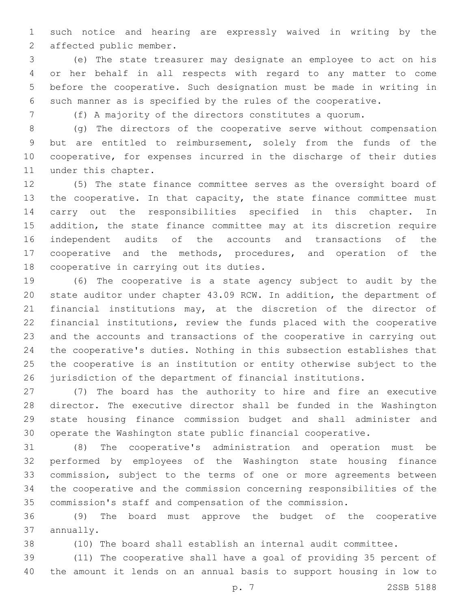such notice and hearing are expressly waived in writing by the 2 affected public member.

 (e) The state treasurer may designate an employee to act on his or her behalf in all respects with regard to any matter to come before the cooperative. Such designation must be made in writing in such manner as is specified by the rules of the cooperative.

(f) A majority of the directors constitutes a quorum.

 (g) The directors of the cooperative serve without compensation but are entitled to reimbursement, solely from the funds of the cooperative, for expenses incurred in the discharge of their duties 11 under this chapter.

 (5) The state finance committee serves as the oversight board of 13 the cooperative. In that capacity, the state finance committee must carry out the responsibilities specified in this chapter. In addition, the state finance committee may at its discretion require independent audits of the accounts and transactions of the cooperative and the methods, procedures, and operation of the 18 cooperative in carrying out its duties.

 (6) The cooperative is a state agency subject to audit by the state auditor under chapter 43.09 RCW. In addition, the department of financial institutions may, at the discretion of the director of financial institutions, review the funds placed with the cooperative and the accounts and transactions of the cooperative in carrying out the cooperative's duties. Nothing in this subsection establishes that the cooperative is an institution or entity otherwise subject to the jurisdiction of the department of financial institutions.

 (7) The board has the authority to hire and fire an executive director. The executive director shall be funded in the Washington state housing finance commission budget and shall administer and operate the Washington state public financial cooperative.

 (8) The cooperative's administration and operation must be performed by employees of the Washington state housing finance commission, subject to the terms of one or more agreements between the cooperative and the commission concerning responsibilities of the commission's staff and compensation of the commission.

 (9) The board must approve the budget of the cooperative 37 annually.

(10) The board shall establish an internal audit committee.

 (11) The cooperative shall have a goal of providing 35 percent of the amount it lends on an annual basis to support housing in low to

p. 7 2SSB 5188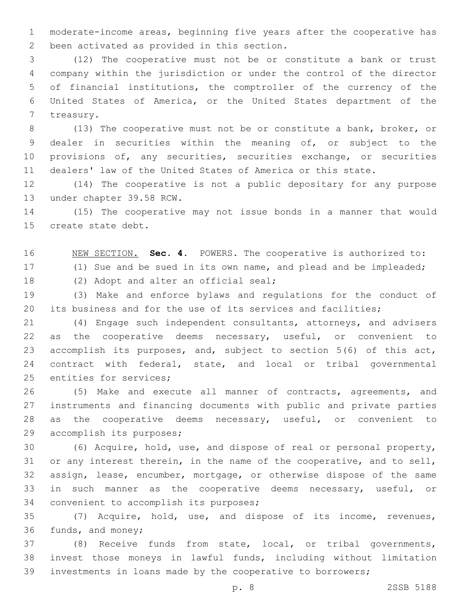moderate-income areas, beginning five years after the cooperative has 2 been activated as provided in this section.

 (12) The cooperative must not be or constitute a bank or trust company within the jurisdiction or under the control of the director of financial institutions, the comptroller of the currency of the United States of America, or the United States department of the 7 treasury.

 (13) The cooperative must not be or constitute a bank, broker, or dealer in securities within the meaning of, or subject to the provisions of, any securities, securities exchange, or securities dealers' law of the United States of America or this state.

 (14) The cooperative is not a public depositary for any purpose 13 under chapter 39.58 RCW.

 (15) The cooperative may not issue bonds in a manner that would 15 create state debt.

NEW SECTION. **Sec. 4.** POWERS. The cooperative is authorized to:

(1) Sue and be sued in its own name, and plead and be impleaded;

18 (2) Adopt and alter an official seal;

 (3) Make and enforce bylaws and regulations for the conduct of its business and for the use of its services and facilities;

 (4) Engage such independent consultants, attorneys, and advisers as the cooperative deems necessary, useful, or convenient to accomplish its purposes, and, subject to section 5(6) of this act, contract with federal, state, and local or tribal governmental 25 entities for services;

 (5) Make and execute all manner of contracts, agreements, and instruments and financing documents with public and private parties as the cooperative deems necessary, useful, or convenient to 29 accomplish its purposes;

 (6) Acquire, hold, use, and dispose of real or personal property, or any interest therein, in the name of the cooperative, and to sell, assign, lease, encumber, mortgage, or otherwise dispose of the same in such manner as the cooperative deems necessary, useful, or 34 convenient to accomplish its purposes;

 (7) Acquire, hold, use, and dispose of its income, revenues, 36 funds, and money;

 (8) Receive funds from state, local, or tribal governments, invest those moneys in lawful funds, including without limitation investments in loans made by the cooperative to borrowers;

p. 8 2SSB 5188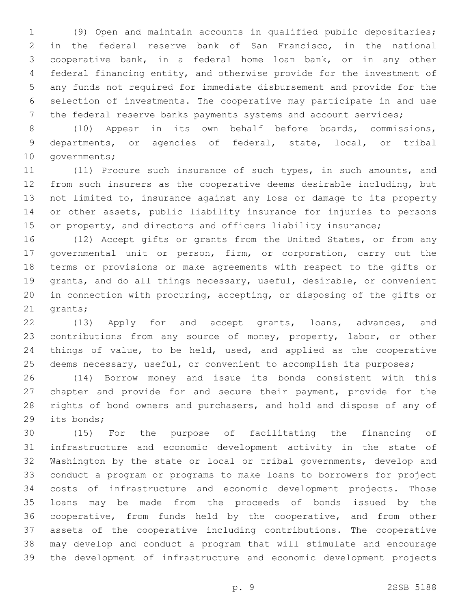(9) Open and maintain accounts in qualified public depositaries; in the federal reserve bank of San Francisco, in the national cooperative bank, in a federal home loan bank, or in any other federal financing entity, and otherwise provide for the investment of any funds not required for immediate disbursement and provide for the selection of investments. The cooperative may participate in and use the federal reserve banks payments systems and account services;

 (10) Appear in its own behalf before boards, commissions, departments, or agencies of federal, state, local, or tribal 10 governments;

 (11) Procure such insurance of such types, in such amounts, and from such insurers as the cooperative deems desirable including, but not limited to, insurance against any loss or damage to its property or other assets, public liability insurance for injuries to persons 15 or property, and directors and officers liability insurance;

 (12) Accept gifts or grants from the United States, or from any governmental unit or person, firm, or corporation, carry out the terms or provisions or make agreements with respect to the gifts or grants, and do all things necessary, useful, desirable, or convenient in connection with procuring, accepting, or disposing of the gifts or 21 grants;

22 (13) Apply for and accept grants, loans, advances, and contributions from any source of money, property, labor, or other things of value, to be held, used, and applied as the cooperative 25 deems necessary, useful, or convenient to accomplish its purposes;

 (14) Borrow money and issue its bonds consistent with this chapter and provide for and secure their payment, provide for the rights of bond owners and purchasers, and hold and dispose of any of 29 its bonds;

 (15) For the purpose of facilitating the financing of infrastructure and economic development activity in the state of Washington by the state or local or tribal governments, develop and conduct a program or programs to make loans to borrowers for project costs of infrastructure and economic development projects. Those loans may be made from the proceeds of bonds issued by the cooperative, from funds held by the cooperative, and from other assets of the cooperative including contributions. The cooperative may develop and conduct a program that will stimulate and encourage the development of infrastructure and economic development projects

p. 9 2SSB 5188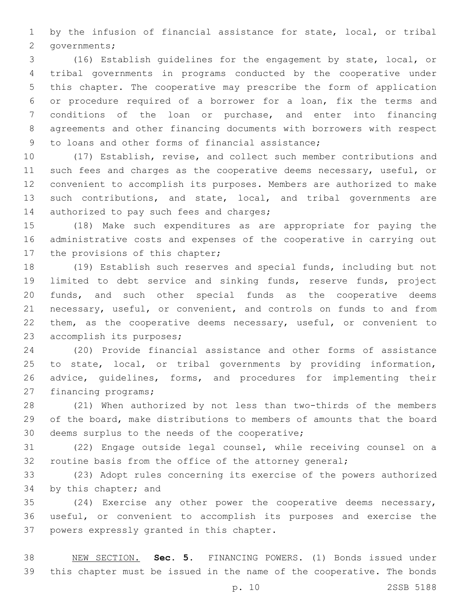by the infusion of financial assistance for state, local, or tribal 2 governments;

 (16) Establish guidelines for the engagement by state, local, or tribal governments in programs conducted by the cooperative under this chapter. The cooperative may prescribe the form of application or procedure required of a borrower for a loan, fix the terms and conditions of the loan or purchase, and enter into financing agreements and other financing documents with borrowers with respect 9 to loans and other forms of financial assistance;

 (17) Establish, revise, and collect such member contributions and 11 such fees and charges as the cooperative deems necessary, useful, or convenient to accomplish its purposes. Members are authorized to make such contributions, and state, local, and tribal governments are 14 authorized to pay such fees and charges;

 (18) Make such expenditures as are appropriate for paying the administrative costs and expenses of the cooperative in carrying out 17 the provisions of this chapter;

 (19) Establish such reserves and special funds, including but not limited to debt service and sinking funds, reserve funds, project funds, and such other special funds as the cooperative deems necessary, useful, or convenient, and controls on funds to and from 22 them, as the cooperative deems necessary, useful, or convenient to 23 accomplish its purposes;

 (20) Provide financial assistance and other forms of assistance to state, local, or tribal governments by providing information, advice, guidelines, forms, and procedures for implementing their 27 financing programs;

 (21) When authorized by not less than two-thirds of the members of the board, make distributions to members of amounts that the board 30 deems surplus to the needs of the cooperative;

 (22) Engage outside legal counsel, while receiving counsel on a 32 routine basis from the office of the attorney general;

 (23) Adopt rules concerning its exercise of the powers authorized 34 by this chapter; and

 (24) Exercise any other power the cooperative deems necessary, useful, or convenient to accomplish its purposes and exercise the 37 powers expressly granted in this chapter.

 NEW SECTION. **Sec. 5.** FINANCING POWERS. (1) Bonds issued under this chapter must be issued in the name of the cooperative. The bonds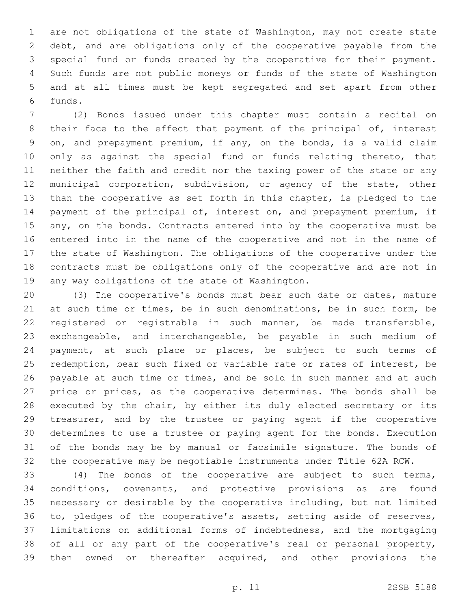are not obligations of the state of Washington, may not create state debt, and are obligations only of the cooperative payable from the special fund or funds created by the cooperative for their payment. Such funds are not public moneys or funds of the state of Washington and at all times must be kept segregated and set apart from other funds.6

 (2) Bonds issued under this chapter must contain a recital on 8 their face to the effect that payment of the principal of, interest on, and prepayment premium, if any, on the bonds, is a valid claim 10 only as against the special fund or funds relating thereto, that neither the faith and credit nor the taxing power of the state or any municipal corporation, subdivision, or agency of the state, other than the cooperative as set forth in this chapter, is pledged to the payment of the principal of, interest on, and prepayment premium, if 15 any, on the bonds. Contracts entered into by the cooperative must be entered into in the name of the cooperative and not in the name of the state of Washington. The obligations of the cooperative under the contracts must be obligations only of the cooperative and are not in 19 any way obligations of the state of Washington.

 (3) The cooperative's bonds must bear such date or dates, mature at such time or times, be in such denominations, be in such form, be registered or registrable in such manner, be made transferable, exchangeable, and interchangeable, be payable in such medium of payment, at such place or places, be subject to such terms of redemption, bear such fixed or variable rate or rates of interest, be 26 payable at such time or times, and be sold in such manner and at such 27 price or prices, as the cooperative determines. The bonds shall be executed by the chair, by either its duly elected secretary or its treasurer, and by the trustee or paying agent if the cooperative determines to use a trustee or paying agent for the bonds. Execution of the bonds may be by manual or facsimile signature. The bonds of the cooperative may be negotiable instruments under Title 62A RCW.

 (4) The bonds of the cooperative are subject to such terms, conditions, covenants, and protective provisions as are found necessary or desirable by the cooperative including, but not limited to, pledges of the cooperative's assets, setting aside of reserves, limitations on additional forms of indebtedness, and the mortgaging of all or any part of the cooperative's real or personal property, then owned or thereafter acquired, and other provisions the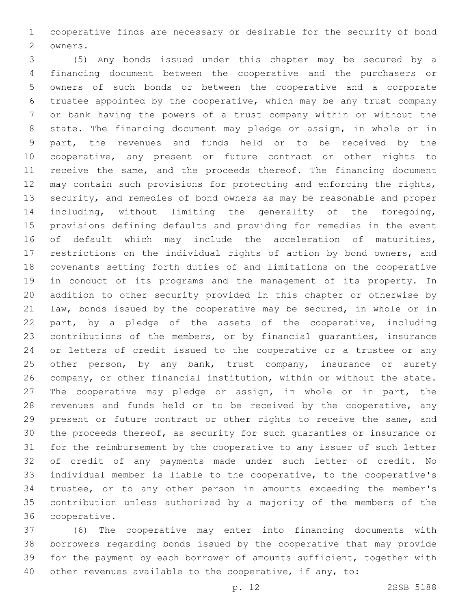cooperative finds are necessary or desirable for the security of bond 2 owners.

 (5) Any bonds issued under this chapter may be secured by a financing document between the cooperative and the purchasers or owners of such bonds or between the cooperative and a corporate trustee appointed by the cooperative, which may be any trust company or bank having the powers of a trust company within or without the state. The financing document may pledge or assign, in whole or in part, the revenues and funds held or to be received by the cooperative, any present or future contract or other rights to 11 receive the same, and the proceeds thereof. The financing document may contain such provisions for protecting and enforcing the rights, security, and remedies of bond owners as may be reasonable and proper including, without limiting the generality of the foregoing, provisions defining defaults and providing for remedies in the event 16 of default which may include the acceleration of maturities, restrictions on the individual rights of action by bond owners, and covenants setting forth duties of and limitations on the cooperative in conduct of its programs and the management of its property. In addition to other security provided in this chapter or otherwise by law, bonds issued by the cooperative may be secured, in whole or in part, by a pledge of the assets of the cooperative, including contributions of the members, or by financial guaranties, insurance or letters of credit issued to the cooperative or a trustee or any 25 other person, by any bank, trust company, insurance or surety company, or other financial institution, within or without the state. The cooperative may pledge or assign, in whole or in part, the 28 revenues and funds held or to be received by the cooperative, any present or future contract or other rights to receive the same, and the proceeds thereof, as security for such guaranties or insurance or for the reimbursement by the cooperative to any issuer of such letter of credit of any payments made under such letter of credit. No individual member is liable to the cooperative, to the cooperative's trustee, or to any other person in amounts exceeding the member's contribution unless authorized by a majority of the members of the 36 cooperative.

 (6) The cooperative may enter into financing documents with borrowers regarding bonds issued by the cooperative that may provide for the payment by each borrower of amounts sufficient, together with other revenues available to the cooperative, if any, to: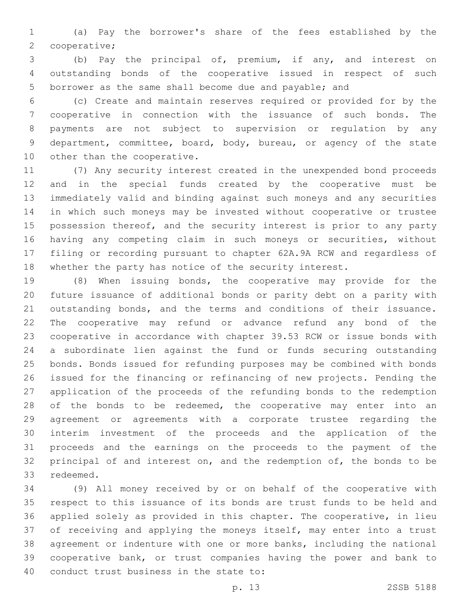(a) Pay the borrower's share of the fees established by the 2 cooperative;

 (b) Pay the principal of, premium, if any, and interest on outstanding bonds of the cooperative issued in respect of such borrower as the same shall become due and payable; and

 (c) Create and maintain reserves required or provided for by the cooperative in connection with the issuance of such bonds. The payments are not subject to supervision or regulation by any department, committee, board, body, bureau, or agency of the state 10 other than the cooperative.

 (7) Any security interest created in the unexpended bond proceeds and in the special funds created by the cooperative must be immediately valid and binding against such moneys and any securities in which such moneys may be invested without cooperative or trustee 15 possession thereof, and the security interest is prior to any party having any competing claim in such moneys or securities, without filing or recording pursuant to chapter 62A.9A RCW and regardless of whether the party has notice of the security interest.

 (8) When issuing bonds, the cooperative may provide for the future issuance of additional bonds or parity debt on a parity with outstanding bonds, and the terms and conditions of their issuance. The cooperative may refund or advance refund any bond of the cooperative in accordance with chapter 39.53 RCW or issue bonds with a subordinate lien against the fund or funds securing outstanding bonds. Bonds issued for refunding purposes may be combined with bonds issued for the financing or refinancing of new projects. Pending the application of the proceeds of the refunding bonds to the redemption 28 of the bonds to be redeemed, the cooperative may enter into an agreement or agreements with a corporate trustee regarding the interim investment of the proceeds and the application of the proceeds and the earnings on the proceeds to the payment of the 32 principal of and interest on, and the redemption of, the bonds to be 33 redeemed.

 (9) All money received by or on behalf of the cooperative with respect to this issuance of its bonds are trust funds to be held and applied solely as provided in this chapter. The cooperative, in lieu of receiving and applying the moneys itself, may enter into a trust agreement or indenture with one or more banks, including the national cooperative bank, or trust companies having the power and bank to 40 conduct trust business in the state to: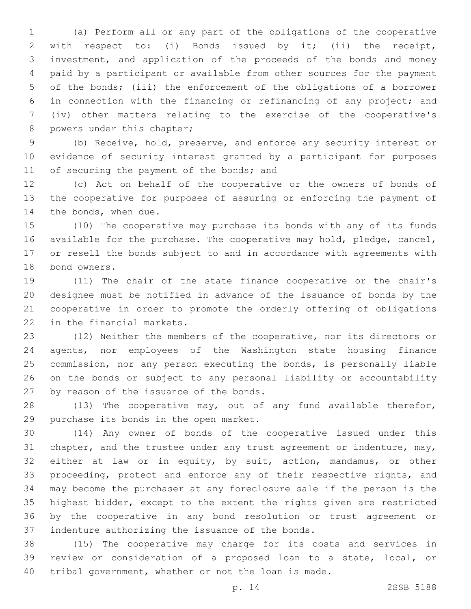(a) Perform all or any part of the obligations of the cooperative with respect to: (i) Bonds issued by it; (ii) the receipt, investment, and application of the proceeds of the bonds and money paid by a participant or available from other sources for the payment of the bonds; (iii) the enforcement of the obligations of a borrower in connection with the financing or refinancing of any project; and (iv) other matters relating to the exercise of the cooperative's 8 powers under this chapter;

 (b) Receive, hold, preserve, and enforce any security interest or evidence of security interest granted by a participant for purposes 11 of securing the payment of the bonds; and

 (c) Act on behalf of the cooperative or the owners of bonds of the cooperative for purposes of assuring or enforcing the payment of 14 the bonds, when due.

 (10) The cooperative may purchase its bonds with any of its funds available for the purchase. The cooperative may hold, pledge, cancel, or resell the bonds subject to and in accordance with agreements with 18 bond owners.

 (11) The chair of the state finance cooperative or the chair's designee must be notified in advance of the issuance of bonds by the cooperative in order to promote the orderly offering of obligations 22 in the financial markets.

 (12) Neither the members of the cooperative, nor its directors or agents, nor employees of the Washington state housing finance commission, nor any person executing the bonds, is personally liable on the bonds or subject to any personal liability or accountability 27 by reason of the issuance of the bonds.

 (13) The cooperative may, out of any fund available therefor, 29 purchase its bonds in the open market.

 (14) Any owner of bonds of the cooperative issued under this 31 chapter, and the trustee under any trust agreement or indenture, may, either at law or in equity, by suit, action, mandamus, or other 33 proceeding, protect and enforce any of their respective rights, and may become the purchaser at any foreclosure sale if the person is the highest bidder, except to the extent the rights given are restricted by the cooperative in any bond resolution or trust agreement or 37 indenture authorizing the issuance of the bonds.

 (15) The cooperative may charge for its costs and services in review or consideration of a proposed loan to a state, local, or tribal government, whether or not the loan is made.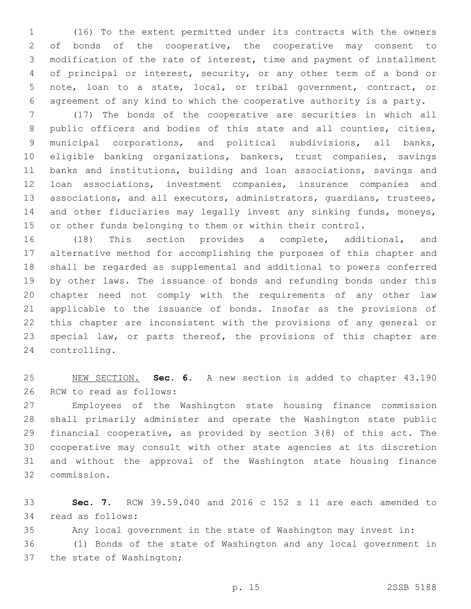(16) To the extent permitted under its contracts with the owners 2 of bonds of the cooperative, the cooperative may consent to modification of the rate of interest, time and payment of installment of principal or interest, security, or any other term of a bond or note, loan to a state, local, or tribal government, contract, or agreement of any kind to which the cooperative authority is a party.

 (17) The bonds of the cooperative are securities in which all public officers and bodies of this state and all counties, cities, municipal corporations, and political subdivisions, all banks, eligible banking organizations, bankers, trust companies, savings banks and institutions, building and loan associations, savings and loan associations, investment companies, insurance companies and associations, and all executors, administrators, guardians, trustees, 14 and other fiduciaries may legally invest any sinking funds, moneys, or other funds belonging to them or within their control.

 (18) This section provides a complete, additional, and alternative method for accomplishing the purposes of this chapter and shall be regarded as supplemental and additional to powers conferred by other laws. The issuance of bonds and refunding bonds under this chapter need not comply with the requirements of any other law applicable to the issuance of bonds. Insofar as the provisions of this chapter are inconsistent with the provisions of any general or special law, or parts thereof, the provisions of this chapter are 24 controlling.

 NEW SECTION. **Sec. 6.** A new section is added to chapter 43.190 26 RCW to read as follows:

 Employees of the Washington state housing finance commission shall primarily administer and operate the Washington state public financial cooperative, as provided by section 3(8) of this act. The cooperative may consult with other state agencies at its discretion and without the approval of the Washington state housing finance commission.32

 **Sec. 7.** RCW 39.59.040 and 2016 c 152 s 11 are each amended to 34 read as follows:

Any local government in the state of Washington may invest in:

 (1) Bonds of the state of Washington and any local government in 37 the state of Washington;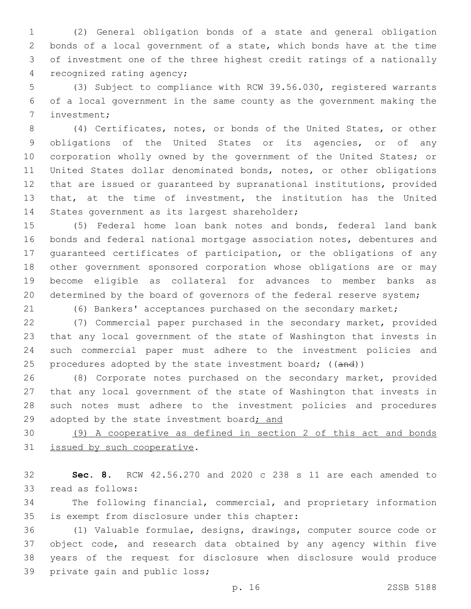(2) General obligation bonds of a state and general obligation bonds of a local government of a state, which bonds have at the time of investment one of the three highest credit ratings of a nationally 4 recognized rating agency;

 (3) Subject to compliance with RCW 39.56.030, registered warrants of a local government in the same county as the government making the 7 investment;

 (4) Certificates, notes, or bonds of the United States, or other obligations of the United States or its agencies, or of any 10 corporation wholly owned by the government of the United States; or United States dollar denominated bonds, notes, or other obligations that are issued or guaranteed by supranational institutions, provided that, at the time of investment, the institution has the United 14 States government as its largest shareholder;

 (5) Federal home loan bank notes and bonds, federal land bank bonds and federal national mortgage association notes, debentures and guaranteed certificates of participation, or the obligations of any other government sponsored corporation whose obligations are or may become eligible as collateral for advances to member banks as determined by the board of governors of the federal reserve system;

(6) Bankers' acceptances purchased on the secondary market;

 (7) Commercial paper purchased in the secondary market, provided that any local government of the state of Washington that invests in such commercial paper must adhere to the investment policies and 25 procedures adopted by the state investment board; ((and))

 (8) Corporate notes purchased on the secondary market, provided that any local government of the state of Washington that invests in such notes must adhere to the investment policies and procedures 29 adopted by the state investment board; and

 (9) A cooperative as defined in section 2 of this act and bonds 31 issued by such cooperative.

 **Sec. 8.** RCW 42.56.270 and 2020 c 238 s 11 are each amended to 33 read as follows:

 The following financial, commercial, and proprietary information 35 is exempt from disclosure under this chapter:

 (1) Valuable formulae, designs, drawings, computer source code or object code, and research data obtained by any agency within five years of the request for disclosure when disclosure would produce 39 private gain and public loss;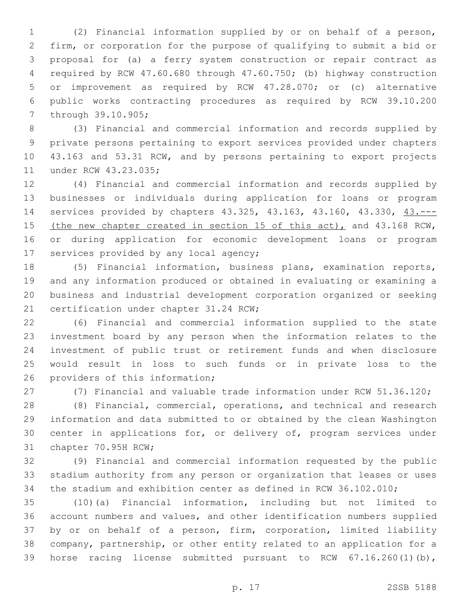(2) Financial information supplied by or on behalf of a person, firm, or corporation for the purpose of qualifying to submit a bid or proposal for (a) a ferry system construction or repair contract as required by RCW 47.60.680 through 47.60.750; (b) highway construction or improvement as required by RCW 47.28.070; or (c) alternative public works contracting procedures as required by RCW 39.10.200 7 through 39.10.905;

 (3) Financial and commercial information and records supplied by private persons pertaining to export services provided under chapters 43.163 and 53.31 RCW, and by persons pertaining to export projects 11 under RCW 43.23.035;

 (4) Financial and commercial information and records supplied by businesses or individuals during application for loans or program services provided by chapters 43.325, 43.163, 43.160, 43.330, 43.--- 15 (the new chapter created in section 15 of this act), and 43.168 RCW, or during application for economic development loans or program 17 services provided by any local agency;

 (5) Financial information, business plans, examination reports, and any information produced or obtained in evaluating or examining a business and industrial development corporation organized or seeking 21 certification under chapter 31.24 RCW;

 (6) Financial and commercial information supplied to the state investment board by any person when the information relates to the investment of public trust or retirement funds and when disclosure would result in loss to such funds or in private loss to the 26 providers of this information;

(7) Financial and valuable trade information under RCW 51.36.120;

 (8) Financial, commercial, operations, and technical and research information and data submitted to or obtained by the clean Washington center in applications for, or delivery of, program services under 31 chapter 70.95H RCW;

 (9) Financial and commercial information requested by the public stadium authority from any person or organization that leases or uses the stadium and exhibition center as defined in RCW 36.102.010;

 (10)(a) Financial information, including but not limited to account numbers and values, and other identification numbers supplied by or on behalf of a person, firm, corporation, limited liability company, partnership, or other entity related to an application for a horse racing license submitted pursuant to RCW 67.16.260(1)(b),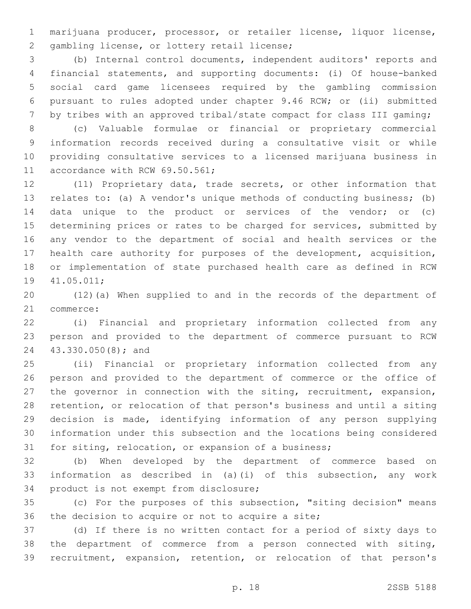marijuana producer, processor, or retailer license, liquor license, 2 gambling license, or lottery retail license;

 (b) Internal control documents, independent auditors' reports and financial statements, and supporting documents: (i) Of house-banked social card game licensees required by the gambling commission pursuant to rules adopted under chapter 9.46 RCW; or (ii) submitted 7 by tribes with an approved tribal/state compact for class III gaming;

 (c) Valuable formulae or financial or proprietary commercial information records received during a consultative visit or while providing consultative services to a licensed marijuana business in 11 accordance with RCW 69.50.561;

 (11) Proprietary data, trade secrets, or other information that relates to: (a) A vendor's unique methods of conducting business; (b) data unique to the product or services of the vendor; or (c) determining prices or rates to be charged for services, submitted by any vendor to the department of social and health services or the health care authority for purposes of the development, acquisition, or implementation of state purchased health care as defined in RCW 19 41.05.011;

 (12)(a) When supplied to and in the records of the department of 21 commerce:

 (i) Financial and proprietary information collected from any person and provided to the department of commerce pursuant to RCW 43.330.050(8); and24

 (ii) Financial or proprietary information collected from any person and provided to the department of commerce or the office of the governor in connection with the siting, recruitment, expansion, retention, or relocation of that person's business and until a siting decision is made, identifying information of any person supplying information under this subsection and the locations being considered for siting, relocation, or expansion of a business;

 (b) When developed by the department of commerce based on information as described in (a)(i) of this subsection, any work 34 product is not exempt from disclosure;

 (c) For the purposes of this subsection, "siting decision" means 36 the decision to acquire or not to acquire a site;

 (d) If there is no written contact for a period of sixty days to the department of commerce from a person connected with siting, recruitment, expansion, retention, or relocation of that person's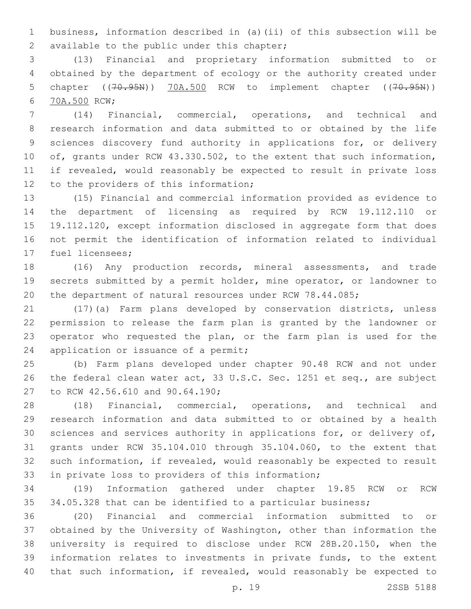business, information described in (a)(ii) of this subsection will be 2 available to the public under this chapter;

 (13) Financial and proprietary information submitted to or obtained by the department of ecology or the authority created under 5 chapter ((70.95N)) 70A.500 RCW to implement chapter ((70.95N)) 70A.500 RCW;6

 (14) Financial, commercial, operations, and technical and research information and data submitted to or obtained by the life sciences discovery fund authority in applications for, or delivery of, grants under RCW 43.330.502, to the extent that such information, if revealed, would reasonably be expected to result in private loss 12 to the providers of this information;

 (15) Financial and commercial information provided as evidence to the department of licensing as required by RCW 19.112.110 or 19.112.120, except information disclosed in aggregate form that does not permit the identification of information related to individual 17 fuel licensees;

 (16) Any production records, mineral assessments, and trade secrets submitted by a permit holder, mine operator, or landowner to the department of natural resources under RCW 78.44.085;

 (17)(a) Farm plans developed by conservation districts, unless permission to release the farm plan is granted by the landowner or operator who requested the plan, or the farm plan is used for the 24 application or issuance of a permit;

 (b) Farm plans developed under chapter 90.48 RCW and not under the federal clean water act, 33 U.S.C. Sec. 1251 et seq., are subject 27 to RCW 42.56.610 and 90.64.190;

 (18) Financial, commercial, operations, and technical and research information and data submitted to or obtained by a health sciences and services authority in applications for, or delivery of, grants under RCW 35.104.010 through 35.104.060, to the extent that such information, if revealed, would reasonably be expected to result 33 in private loss to providers of this information;

 (19) Information gathered under chapter 19.85 RCW or RCW 34.05.328 that can be identified to a particular business;

 (20) Financial and commercial information submitted to or obtained by the University of Washington, other than information the university is required to disclose under RCW 28B.20.150, when the information relates to investments in private funds, to the extent that such information, if revealed, would reasonably be expected to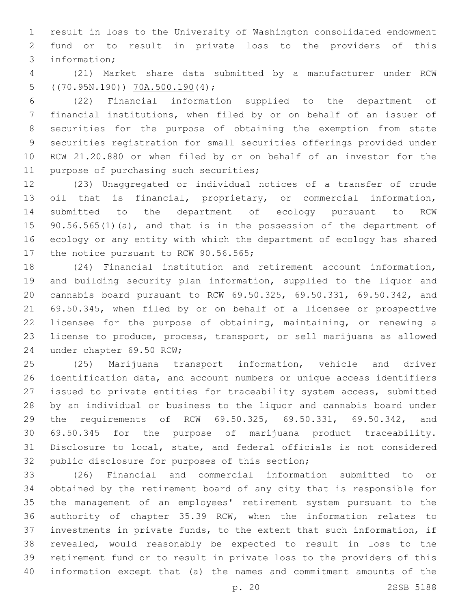result in loss to the University of Washington consolidated endowment fund or to result in private loss to the providers of this 3 information;

 (21) Market share data submitted by a manufacturer under RCW 5  $((70.95N.190))$   $70A.500.190(4)$ ;

 (22) Financial information supplied to the department of financial institutions, when filed by or on behalf of an issuer of securities for the purpose of obtaining the exemption from state securities registration for small securities offerings provided under RCW 21.20.880 or when filed by or on behalf of an investor for the 11 purpose of purchasing such securities;

 (23) Unaggregated or individual notices of a transfer of crude oil that is financial, proprietary, or commercial information, submitted to the department of ecology pursuant to RCW 15 90.56.565(1)(a), and that is in the possession of the department of ecology or any entity with which the department of ecology has shared 17 the notice pursuant to RCW 90.56.565;

 (24) Financial institution and retirement account information, and building security plan information, supplied to the liquor and cannabis board pursuant to RCW 69.50.325, 69.50.331, 69.50.342, and 69.50.345, when filed by or on behalf of a licensee or prospective licensee for the purpose of obtaining, maintaining, or renewing a license to produce, process, transport, or sell marijuana as allowed 24 under chapter 69.50 RCW;

 (25) Marijuana transport information, vehicle and driver identification data, and account numbers or unique access identifiers issued to private entities for traceability system access, submitted by an individual or business to the liquor and cannabis board under the requirements of RCW 69.50.325, 69.50.331, 69.50.342, and 69.50.345 for the purpose of marijuana product traceability. Disclosure to local, state, and federal officials is not considered 32 public disclosure for purposes of this section;

 (26) Financial and commercial information submitted to or obtained by the retirement board of any city that is responsible for the management of an employees' retirement system pursuant to the authority of chapter 35.39 RCW, when the information relates to investments in private funds, to the extent that such information, if revealed, would reasonably be expected to result in loss to the retirement fund or to result in private loss to the providers of this information except that (a) the names and commitment amounts of the

p. 20 2SSB 5188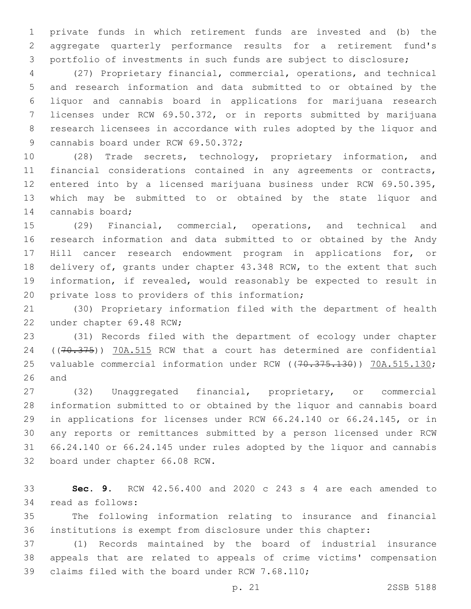private funds in which retirement funds are invested and (b) the aggregate quarterly performance results for a retirement fund's portfolio of investments in such funds are subject to disclosure;

 (27) Proprietary financial, commercial, operations, and technical and research information and data submitted to or obtained by the liquor and cannabis board in applications for marijuana research licenses under RCW 69.50.372, or in reports submitted by marijuana research licensees in accordance with rules adopted by the liquor and 9 cannabis board under RCW 69.50.372;

 (28) Trade secrets, technology, proprietary information, and financial considerations contained in any agreements or contracts, entered into by a licensed marijuana business under RCW 69.50.395, which may be submitted to or obtained by the state liquor and 14 cannabis board;

 (29) Financial, commercial, operations, and technical and research information and data submitted to or obtained by the Andy Hill cancer research endowment program in applications for, or delivery of, grants under chapter 43.348 RCW, to the extent that such information, if revealed, would reasonably be expected to result in 20 private loss to providers of this information;

 (30) Proprietary information filed with the department of health 22 under chapter 69.48 RCW;

 (31) Records filed with the department of ecology under chapter 24 ((70.375)) 70A.515 RCW that a court has determined are confidential 25 valuable commercial information under RCW ((70.375.130)) 70A.515.130; and

 (32) Unaggregated financial, proprietary, or commercial information submitted to or obtained by the liquor and cannabis board in applications for licenses under RCW 66.24.140 or 66.24.145, or in any reports or remittances submitted by a person licensed under RCW 66.24.140 or 66.24.145 under rules adopted by the liquor and cannabis 32 board under chapter 66.08 RCW.

 **Sec. 9.** RCW 42.56.400 and 2020 c 243 s 4 are each amended to 34 read as follows:

 The following information relating to insurance and financial institutions is exempt from disclosure under this chapter:

 (1) Records maintained by the board of industrial insurance appeals that are related to appeals of crime victims' compensation 39 claims filed with the board under RCW 7.68.110;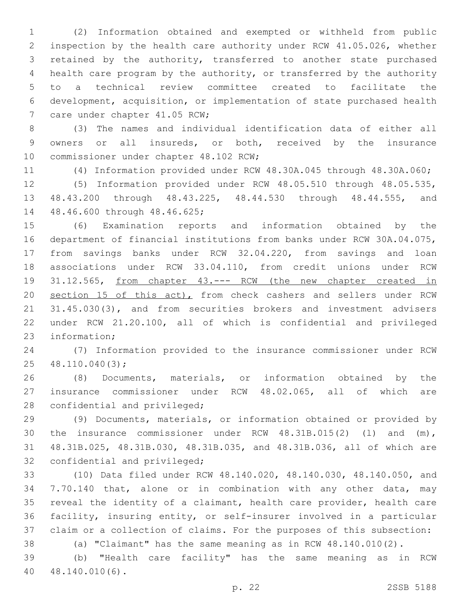(2) Information obtained and exempted or withheld from public inspection by the health care authority under RCW 41.05.026, whether retained by the authority, transferred to another state purchased health care program by the authority, or transferred by the authority to a technical review committee created to facilitate the development, acquisition, or implementation of state purchased health 7 care under chapter 41.05 RCW;

 (3) The names and individual identification data of either all owners or all insureds, or both, received by the insurance 10 commissioner under chapter 48.102 RCW;

(4) Information provided under RCW 48.30A.045 through 48.30A.060;

 (5) Information provided under RCW 48.05.510 through 48.05.535, 48.43.200 through 48.43.225, 48.44.530 through 48.44.555, and 14 48.46.600 through 48.46.625;

 (6) Examination reports and information obtained by the department of financial institutions from banks under RCW 30A.04.075, from savings banks under RCW 32.04.220, from savings and loan associations under RCW 33.04.110, from credit unions under RCW 31.12.565, from chapter 43.--- RCW (the new chapter created in 20 section 15 of this act), from check cashers and sellers under RCW 21 31.45.030(3), and from securities brokers and investment advisers under RCW 21.20.100, all of which is confidential and privileged 23 information;

 (7) Information provided to the insurance commissioner under RCW 25 48.110.040(3);

 (8) Documents, materials, or information obtained by the insurance commissioner under RCW 48.02.065, all of which are 28 confidential and privileged;

 (9) Documents, materials, or information obtained or provided by the insurance commissioner under RCW 48.31B.015(2) (l) and (m), 48.31B.025, 48.31B.030, 48.31B.035, and 48.31B.036, all of which are 32 confidential and privileged;

 (10) Data filed under RCW 48.140.020, 48.140.030, 48.140.050, and 7.70.140 that, alone or in combination with any other data, may reveal the identity of a claimant, health care provider, health care facility, insuring entity, or self-insurer involved in a particular claim or a collection of claims. For the purposes of this subsection:

(a) "Claimant" has the same meaning as in RCW 48.140.010(2).

 (b) "Health care facility" has the same meaning as in RCW 40.140.010(6).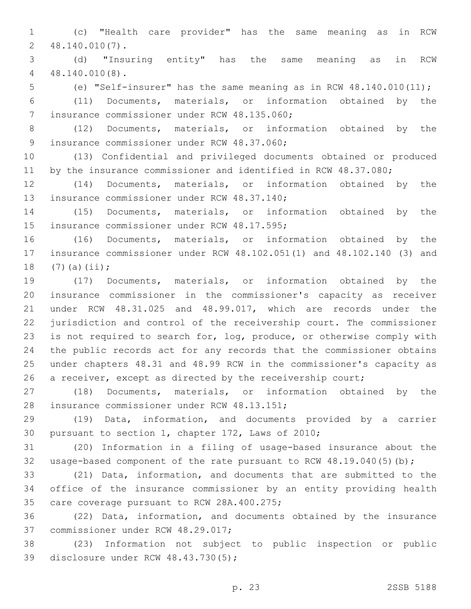(c) "Health care provider" has the same meaning as in RCW 48.140.010(7).2

 (d) "Insuring entity" has the same meaning as in RCW 48.140.010(8).4

(e) "Self-insurer" has the same meaning as in RCW 48.140.010(11);

 (11) Documents, materials, or information obtained by the 7 insurance commissioner under RCW 48.135.060;

 (12) Documents, materials, or information obtained by the 9 insurance commissioner under RCW 48.37.060;

 (13) Confidential and privileged documents obtained or produced 11 by the insurance commissioner and identified in RCW 48.37.080;

 (14) Documents, materials, or information obtained by the 13 insurance commissioner under RCW 48.37.140;

 (15) Documents, materials, or information obtained by the 15 insurance commissioner under RCW 48.17.595;

 (16) Documents, materials, or information obtained by the insurance commissioner under RCW 48.102.051(1) and 48.102.140 (3) and 18  $(7)(a)(ii);$ 

 (17) Documents, materials, or information obtained by the insurance commissioner in the commissioner's capacity as receiver under RCW 48.31.025 and 48.99.017, which are records under the jurisdiction and control of the receivership court. The commissioner is not required to search for, log, produce, or otherwise comply with the public records act for any records that the commissioner obtains under chapters 48.31 and 48.99 RCW in the commissioner's capacity as 26 a receiver, except as directed by the receivership court;

 (18) Documents, materials, or information obtained by the 28 insurance commissioner under RCW 48.13.151;

 (19) Data, information, and documents provided by a carrier 30 pursuant to section 1, chapter 172, Laws of 2010;

 (20) Information in a filing of usage-based insurance about the usage-based component of the rate pursuant to RCW 48.19.040(5)(b);

 (21) Data, information, and documents that are submitted to the office of the insurance commissioner by an entity providing health 35 care coverage pursuant to RCW 28A.400.275;

 (22) Data, information, and documents obtained by the insurance 37 commissioner under RCW 48.29.017;

 (23) Information not subject to public inspection or public 39 disclosure under RCW 48.43.730(5);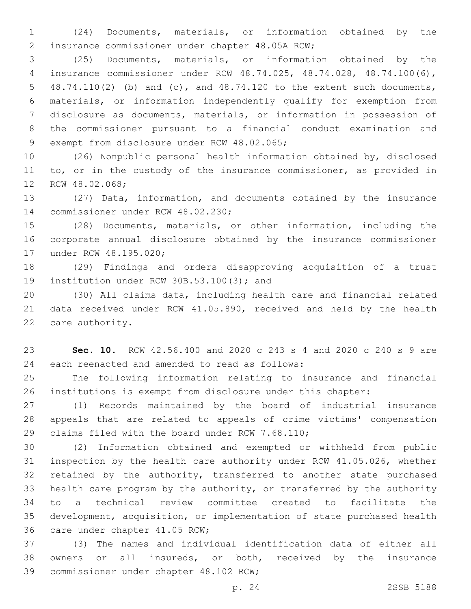(24) Documents, materials, or information obtained by the 2 insurance commissioner under chapter 48.05A RCW;

 (25) Documents, materials, or information obtained by the insurance commissioner under RCW 48.74.025, 48.74.028, 48.74.100(6), 48.74.110(2) (b) and (c), and 48.74.120 to the extent such documents, materials, or information independently qualify for exemption from disclosure as documents, materials, or information in possession of the commissioner pursuant to a financial conduct examination and 9 exempt from disclosure under RCW 48.02.065;

 (26) Nonpublic personal health information obtained by, disclosed 11 to, or in the custody of the insurance commissioner, as provided in 12 RCW 48.02.068;

 (27) Data, information, and documents obtained by the insurance 14 commissioner under RCW 48.02.230;

 (28) Documents, materials, or other information, including the corporate annual disclosure obtained by the insurance commissioner 17 under RCW 48.195.020;

 (29) Findings and orders disapproving acquisition of a trust 19 institution under RCW 30B.53.100(3); and

 (30) All claims data, including health care and financial related data received under RCW 41.05.890, received and held by the health 22 care authority.

 **Sec. 10.** RCW 42.56.400 and 2020 c 243 s 4 and 2020 c 240 s 9 are 24 each reenacted and amended to read as follows:

 The following information relating to insurance and financial institutions is exempt from disclosure under this chapter:

 (1) Records maintained by the board of industrial insurance appeals that are related to appeals of crime victims' compensation 29 claims filed with the board under RCW 7.68.110;

 (2) Information obtained and exempted or withheld from public inspection by the health care authority under RCW 41.05.026, whether 32 retained by the authority, transferred to another state purchased health care program by the authority, or transferred by the authority to a technical review committee created to facilitate the development, acquisition, or implementation of state purchased health 36 care under chapter 41.05 RCW;

 (3) The names and individual identification data of either all owners or all insureds, or both, received by the insurance 39 commissioner under chapter 48.102 RCW;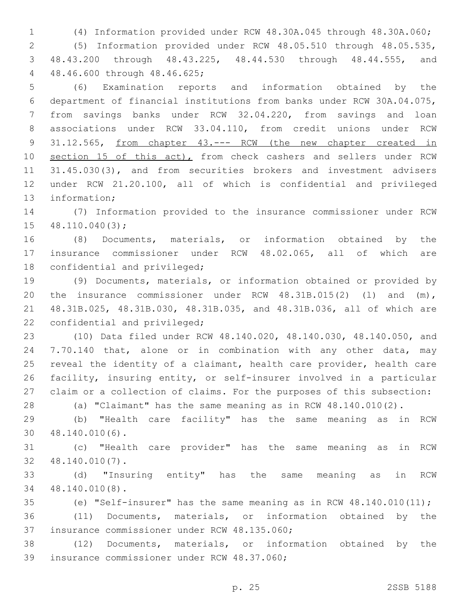(4) Information provided under RCW 48.30A.045 through 48.30A.060; (5) Information provided under RCW 48.05.510 through 48.05.535, 48.43.200 through 48.43.225, 48.44.530 through 48.44.555, and 48.46.600 through 48.46.625;4

 (6) Examination reports and information obtained by the department of financial institutions from banks under RCW 30A.04.075, from savings banks under RCW 32.04.220, from savings and loan associations under RCW 33.04.110, from credit unions under RCW 31.12.565, from chapter 43.--- RCW (the new chapter created in 10 section 15 of this act), from check cashers and sellers under RCW 31.45.030(3), and from securities brokers and investment advisers under RCW 21.20.100, all of which is confidential and privileged 13 information;

 (7) Information provided to the insurance commissioner under RCW  $48.110.040(3)$ ;

 (8) Documents, materials, or information obtained by the insurance commissioner under RCW 48.02.065, all of which are 18 confidential and privileged;

 (9) Documents, materials, or information obtained or provided by the insurance commissioner under RCW 48.31B.015(2) (l) and (m), 48.31B.025, 48.31B.030, 48.31B.035, and 48.31B.036, all of which are 22 confidential and privileged;

 (10) Data filed under RCW 48.140.020, 48.140.030, 48.140.050, and 7.70.140 that, alone or in combination with any other data, may reveal the identity of a claimant, health care provider, health care facility, insuring entity, or self-insurer involved in a particular claim or a collection of claims. For the purposes of this subsection:

(a) "Claimant" has the same meaning as in RCW 48.140.010(2).

 (b) "Health care facility" has the same meaning as in RCW 48.140.010(6).30

 (c) "Health care provider" has the same meaning as in RCW 48.140.010(7).32

 (d) "Insuring entity" has the same meaning as in RCW 48.140.010(8).34

(e) "Self-insurer" has the same meaning as in RCW 48.140.010(11);

 (11) Documents, materials, or information obtained by the 37 insurance commissioner under RCW 48.135.060;

 (12) Documents, materials, or information obtained by the 39 insurance commissioner under RCW 48.37.060;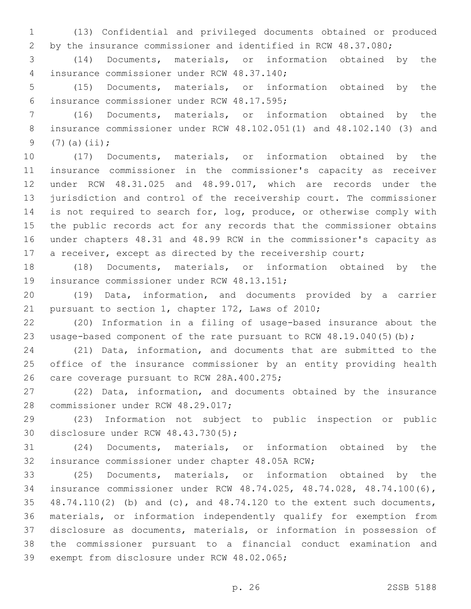(13) Confidential and privileged documents obtained or produced by the insurance commissioner and identified in RCW 48.37.080;

 (14) Documents, materials, or information obtained by the insurance commissioner under RCW 48.37.140;4

 (15) Documents, materials, or information obtained by the 6 insurance commissioner under RCW 48.17.595;

 (16) Documents, materials, or information obtained by the insurance commissioner under RCW 48.102.051(1) and 48.102.140 (3) and 9  $(7)(a)(ii);$ 

 (17) Documents, materials, or information obtained by the insurance commissioner in the commissioner's capacity as receiver under RCW 48.31.025 and 48.99.017, which are records under the jurisdiction and control of the receivership court. The commissioner 14 is not required to search for, log, produce, or otherwise comply with the public records act for any records that the commissioner obtains under chapters 48.31 and 48.99 RCW in the commissioner's capacity as 17 a receiver, except as directed by the receivership court;

 (18) Documents, materials, or information obtained by the 19 insurance commissioner under RCW 48.13.151;

 (19) Data, information, and documents provided by a carrier 21 pursuant to section 1, chapter 172, Laws of 2010;

 (20) Information in a filing of usage-based insurance about the 23 usage-based component of the rate pursuant to RCW 48.19.040(5)(b);

 (21) Data, information, and documents that are submitted to the office of the insurance commissioner by an entity providing health 26 care coverage pursuant to RCW 28A.400.275;

 (22) Data, information, and documents obtained by the insurance 28 commissioner under RCW 48.29.017;

 (23) Information not subject to public inspection or public 30 disclosure under RCW 48.43.730(5);

 (24) Documents, materials, or information obtained by the 32 insurance commissioner under chapter 48.05A RCW;

 (25) Documents, materials, or information obtained by the insurance commissioner under RCW 48.74.025, 48.74.028, 48.74.100(6), 48.74.110(2) (b) and (c), and 48.74.120 to the extent such documents, materials, or information independently qualify for exemption from disclosure as documents, materials, or information in possession of the commissioner pursuant to a financial conduct examination and 39 exempt from disclosure under RCW 48.02.065;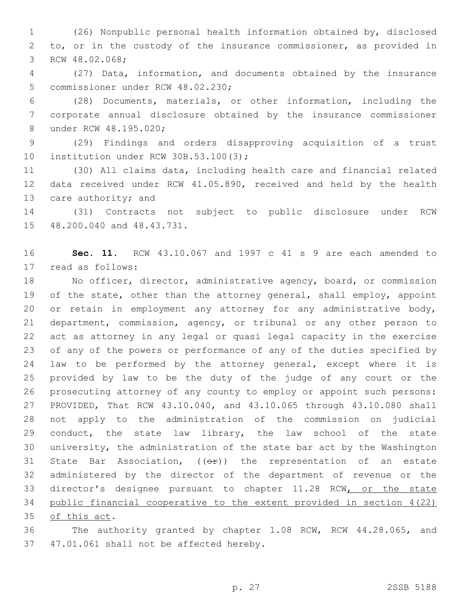(26) Nonpublic personal health information obtained by, disclosed to, or in the custody of the insurance commissioner, as provided in 3 RCW 48.02.068;

 (27) Data, information, and documents obtained by the insurance 5 commissioner under RCW 48.02.230;

 (28) Documents, materials, or other information, including the corporate annual disclosure obtained by the insurance commissioner 8 under RCW 48.195.020;

 (29) Findings and orders disapproving acquisition of a trust 10 institution under RCW 30B.53.100(3);

 (30) All claims data, including health care and financial related data received under RCW 41.05.890, received and held by the health 13 care authority; and

 (31) Contracts not subject to public disclosure under RCW 15 48.200.040 and 48.43.731.

 **Sec. 11.** RCW 43.10.067 and 1997 c 41 s 9 are each amended to 17 read as follows:

 No officer, director, administrative agency, board, or commission 19 of the state, other than the attorney general, shall employ, appoint 20 or retain in employment any attorney for any administrative body, department, commission, agency, or tribunal or any other person to act as attorney in any legal or quasi legal capacity in the exercise of any of the powers or performance of any of the duties specified by law to be performed by the attorney general, except where it is provided by law to be the duty of the judge of any court or the prosecuting attorney of any county to employ or appoint such persons: PROVIDED, That RCW 43.10.040, and 43.10.065 through 43.10.080 shall not apply to the administration of the commission on judicial conduct, the state law library, the law school of the state university, the administration of the state bar act by the Washington 31 State Bar Association,  $((\theta \cdot \hat{r}))$  the representation of an estate administered by the director of the department of revenue or the director's designee pursuant to chapter 11.28 RCW, or the state public financial cooperative to the extent provided in section 4(22) 35 of this act.

 The authority granted by chapter 1.08 RCW, RCW 44.28.065, and 37 47.01.061 shall not be affected hereby.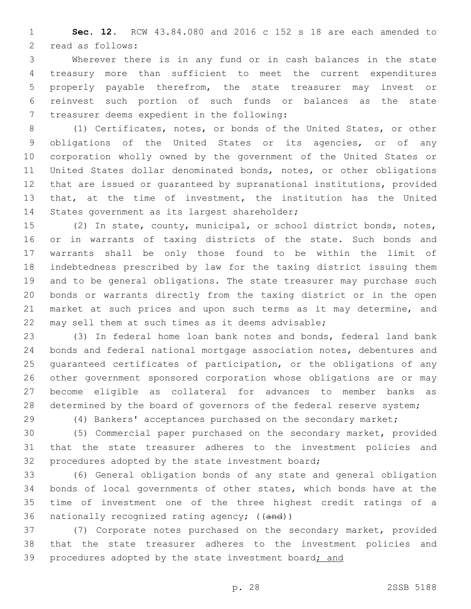**Sec. 12.** RCW 43.84.080 and 2016 c 152 s 18 are each amended to 2 read as follows:

 Wherever there is in any fund or in cash balances in the state treasury more than sufficient to meet the current expenditures properly payable therefrom, the state treasurer may invest or reinvest such portion of such funds or balances as the state 7 treasurer deems expedient in the following:

 (1) Certificates, notes, or bonds of the United States, or other obligations of the United States or its agencies, or of any corporation wholly owned by the government of the United States or United States dollar denominated bonds, notes, or other obligations that are issued or guaranteed by supranational institutions, provided that, at the time of investment, the institution has the United 14 States government as its largest shareholder;

 (2) In state, county, municipal, or school district bonds, notes, or in warrants of taxing districts of the state. Such bonds and warrants shall be only those found to be within the limit of indebtedness prescribed by law for the taxing district issuing them and to be general obligations. The state treasurer may purchase such bonds or warrants directly from the taxing district or in the open 21 market at such prices and upon such terms as it may determine, and may sell them at such times as it deems advisable;

 (3) In federal home loan bank notes and bonds, federal land bank bonds and federal national mortgage association notes, debentures and guaranteed certificates of participation, or the obligations of any other government sponsored corporation whose obligations are or may become eligible as collateral for advances to member banks as 28 determined by the board of governors of the federal reserve system;

(4) Bankers' acceptances purchased on the secondary market;

 (5) Commercial paper purchased on the secondary market, provided that the state treasurer adheres to the investment policies and 32 procedures adopted by the state investment board;

 (6) General obligation bonds of any state and general obligation bonds of local governments of other states, which bonds have at the time of investment one of the three highest credit ratings of a 36 nationally recognized rating agency; ((and))

 (7) Corporate notes purchased on the secondary market, provided that the state treasurer adheres to the investment policies and 39 procedures adopted by the state investment board; and